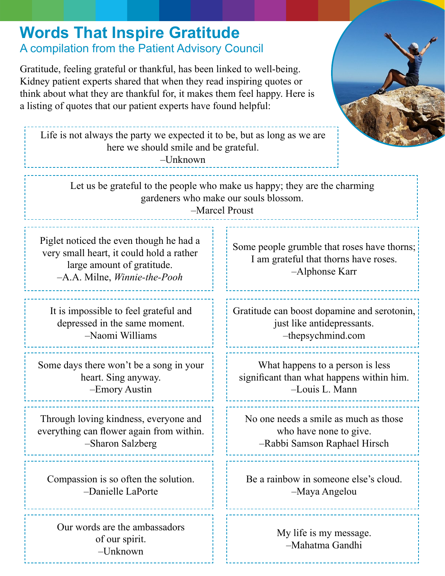## **Words That Inspire Gratitude**

## A compilation from the Patient Advisory Council

Gratitude, feeling grateful or thankful, has been linked to well-being. Kidney patient experts shared that when they read inspiring quotes or think about what they are thankful for, it makes them feel happy. Here is a listing of quotes that our patient experts have found helpful:

Life is not always the party we expected it to be, but as long as we are here we should smile and be grateful.

 $-I$ *Inknown* 

Let us be grateful to the people who make us happy; they are the charming gardeners who make our souls blossom.

–Marcel Proust

Piglet noticed the even though he had a very small heart, it could hold a rather large amount of gratitude. –A.A. Milne, *Winnie-the-Pooh*

It is impossible to feel grateful and depressed in the same moment. –Naomi Williams

Some days there won't be a song in your heart. Sing anyway. –Emory Austin

Through loving kindness, everyone and everything can flower again from within. –Sharon Salzberg

Compassion is so often the solution. –Danielle LaPorte

Our words are the ambassadors of our spirit. –Unknown

Some people grumble that roses have thorns; I am grateful that thorns have roses. –Alphonse Karr

Gratitude can boost dopamine and serotonin, just like antidepressants. –thepsychmind.com

What happens to a person is less significant than what happens within him. –Louis L. Mann

No one needs a smile as much as those who have none to give. –Rabbi Samson Raphael Hirsch

Be a rainbow in someone else's cloud. –Maya Angelou

> My life is my message. –Mahatma Gandhi